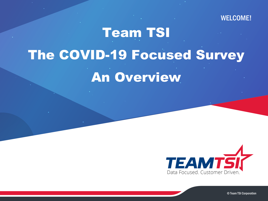#### WELCOME!

# Team TSI The COVID-19 Focused Survey An Overview

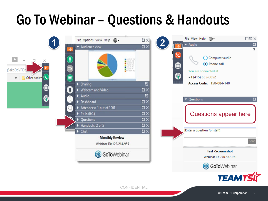## Go To Webinar – Questions & Handouts

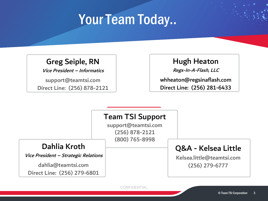### Your Team Today..

#### Greg Seiple, RN

Vice President – Informatics

support@teamtsi.com Direct Line: (256) 878-2121

#### Hugh Heaton

Regs-In-A-Flash, LLC

whheaton@regsinaflash.com Direct Line: (256) 281-6433

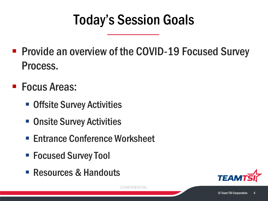## Today's Session Goals

- **Provide an overview of the COVID-19 Focused Survey** Process.
- Focus Areas:
	- **Offsite Survey Activities**
	- **Onsite Survey Activities**
	- Entrance Conference Worksheet
	- Focused Survey Tool
	- Resources & Handouts

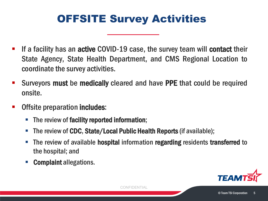### OFFSITE Survey Activities

- If a facility has an active COVID-19 case, the survey team will contact their State Agency, State Health Department, and CMS Regional Location to coordinate the survey activities.
- **Surveyors must be medically cleared and have PPE that could be required** onsite.
- Offsite preparation includes:
	- The review of facility reported information;
	- The review of CDC, State/Local Public Health Reports (if available);
	- The review of available **hospital** information **regarding** residents **transferred** to the hospital; and
	- Complaint allegations.

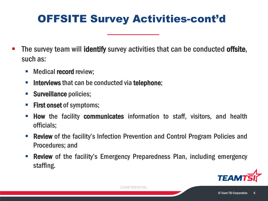### OFFSITE Survey Activities-cont'd

- The survey team will identify survey activities that can be conducted offsite, such as:
	- **Nedical record review;**
	- **Interviews that can be conducted via telephone;**
	- Surveillance policies;
	- **First onset of symptoms;**
	- How the facility communicates information to staff, visitors, and health officials;
	- Review of the facility's Infection Prevention and Control Program Policies and Procedures; and
	- Review of the facility's Emergency Preparedness Plan, including emergency staffing.

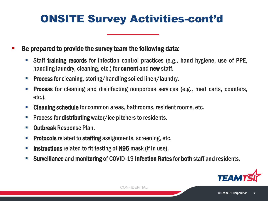### ONSITE Survey Activities-cont'd

Be prepared to provide the survey team the following data:

- Staff training records for infection control practices (e.g., hand hygiene, use of PPE, handling laundry, cleaning, etc.) for current and new staff.
- **Process** for cleaning, storing/handling soiled linen/laundry.
- **Process** for cleaning and disinfecting nonporous services (e.g., med carts, counters, etc.).
- **EXECTE 2018 Cleaning schedule for common areas, bathrooms, resident rooms, etc.**
- **Process for distributing** water/ice pitchers to residents.
- **Outbreak Response Plan.**
- Protocols related to staffing assignments, screening, etc.
- **Instructions** related to fit testing of N95 mask (if in use).
- Surveillance and monitoring of COVID-19 Infection Ratesfor both staff and residents.

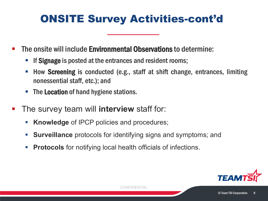### ONSITE Survey Activities-cont'd

- The onsite will include **Environmental Observations** to determine:
	- If Signage is posted at the entrances and resident rooms;
	- How Screening is conducted (e.g., staff at shift change, entrances, limiting nonessential staff, etc.); and
	- **The Location of hand hygiene stations.**
- The survey team will **interview** staff for:
	- **Knowledge** of IPCP policies and procedures;
	- **Surveillance** protocols for identifying signs and symptoms; and
	- **Protocols** for notifying local health officials of infections.

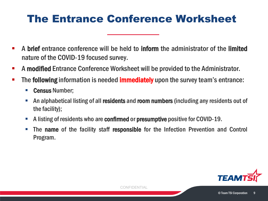#### The Entrance Conference Worksheet

- **A brief** entrance conference will be held to **inform** the administrator of the limited nature of the COVID-19 focused survey.
- A modified Entrance Conference Worksheet will be provided to the Administrator.
- The following information is needed **immediately** upon the survey team's entrance:
	- Census Number;
	- An alphabetical listing of all residents and room numbers (including any residents out of the facility);
	- A listing of residents who are confirmed or presumptive positive for COVID-19.
	- **The name of the facility staff responsible for the Infection Prevention and Control** Program.

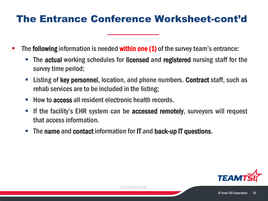#### The Entrance Conference Worksheet-cont'd

- The **following** information is needed **within one (1)** of the survey team's entrance:
	- The actual working schedules for licensed and registered nursing staff for the survey time period;
	- Listing of key personnel, location, and phone numbers. Contract staff, such as rehab services are to be included in the listing;
	- How to access all resident electronic health records.
	- If the facility's EHR system can be **accessed remotely**, surveyors will request that accessinformation.
	- **The name and contact information for IT and back-up IT questions.**

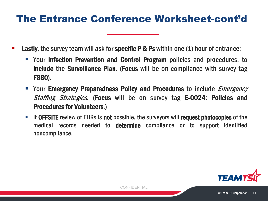#### The Entrance Conference Worksheet-cont'd

- Lastly, the survey team will ask for specific P & Ps within one (1) hour of entrance:
	- **Your Infection Prevention and Control Program** policies and procedures, to include the Surveillance Plan. (Focus will be on compliance with survey tag F880).
	- Your Emergency Preparedness Policy and Procedures to include *Emergency* Staffing Strategies. (Focus will be on survey tag E-0024: Policies and Procedures for Volunteers.)
	- If OFFSITE review of EHRs is not possible, the surveyors will request photocopies of the medical records needed to determine compliance or to support identified noncompliance.

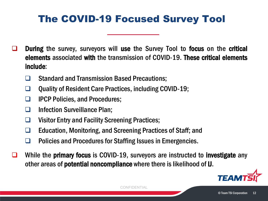#### The COVID-19 Focused Survey Tool

- During the survey, surveyors will use the Survey Tool to focus on the critical elements associated with the transmission of COVID-19. These critical elements include:
	- **□** Standard and Transmission Based Precautions;
	- Quality of Resident Care Practices, including COVID-19;
	- **IFCP Policies, and Procedures;**
	- □ Infection Surveillance Plan;
	- □ Visitor Entry and Facility Screening Practices;
	- □ Education, Monitoring, and Screening Practices of Staff; and
	- □ Policies and Procedures for Staffing Issues in Emergencies.
- While the **primary focus** is COVID-19, surveyors are instructed to **investigate** any other areas of **potential noncompliance** where there is likelihood of **U**.

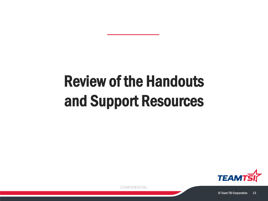# Review of the Handouts and Support Resources

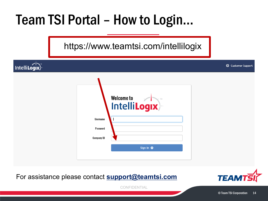## Team TSI Portal – How to Login…

https://www.teamtsi.com/intellilogix

IntelliLogix

|                   | Welcome to<br><b>TM</b><br>Intelli <b>Logix</b> |
|-------------------|-------------------------------------------------|
| <b>Username</b>   |                                                 |
| <b>Password</b>   |                                                 |
| <b>Company ID</b> |                                                 |
|                   | Sign In O                                       |
|                   |                                                 |

For assistance please contact **[support@teamtsi.com](mailto:support@teamtsi.com)**



**CD** Customer Support